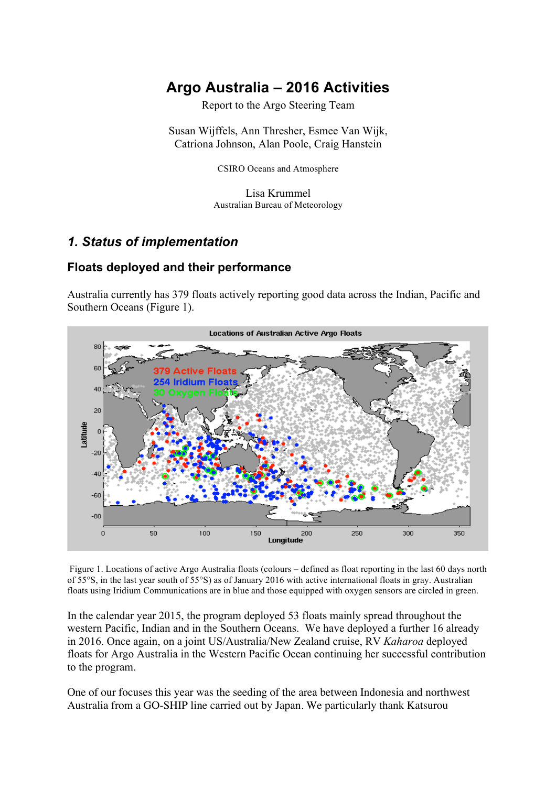# **Argo Australia – 2016 Activities**

Report to the Argo Steering Team

Susan Wijffels, Ann Thresher, Esmee Van Wijk, Catriona Johnson, Alan Poole, Craig Hanstein

CSIRO Oceans and Atmosphere

Lisa Krummel Australian Bureau of Meteorology

## *1. Status of implementation*

### **Floats deployed and their performance**

Australia currently has 379 floats actively reporting good data across the Indian, Pacific and Southern Oceans (Figure 1).



Figure 1. Locations of active Argo Australia floats (colours – defined as float reporting in the last 60 days north of 55°S, in the last year south of 55°S) as of January 2016 with active international floats in gray. Australian floats using Iridium Communications are in blue and those equipped with oxygen sensors are circled in green.

In the calendar year 2015, the program deployed 53 floats mainly spread throughout the western Pacific, Indian and in the Southern Oceans. We have deployed a further 16 already in 2016. Once again, on a joint US/Australia/New Zealand cruise, RV *Kaharoa* deployed floats for Argo Australia in the Western Pacific Ocean continuing her successful contribution to the program.

One of our focuses this year was the seeding of the area between Indonesia and northwest Australia from a GO-SHIP line carried out by Japan. We particularly thank Katsurou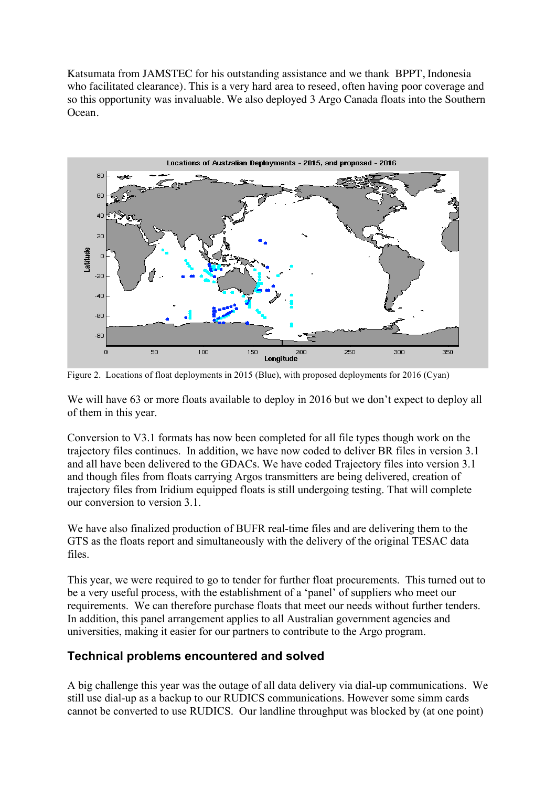Katsumata from JAMSTEC for his outstanding assistance and we thank BPPT, Indonesia who facilitated clearance). This is a very hard area to reseed, often having poor coverage and so this opportunity was invaluable. We also deployed 3 Argo Canada floats into the Southern Ocean.



Figure 2. Locations of float deployments in 2015 (Blue), with proposed deployments for 2016 (Cyan)

We will have 63 or more floats available to deploy in 2016 but we don't expect to deploy all of them in this year.

Conversion to V3.1 formats has now been completed for all file types though work on the trajectory files continues. In addition, we have now coded to deliver BR files in version 3.1 and all have been delivered to the GDACs. We have coded Trajectory files into version 3.1 and though files from floats carrying Argos transmitters are being delivered, creation of trajectory files from Iridium equipped floats is still undergoing testing. That will complete our conversion to version 3.1.

We have also finalized production of BUFR real-time files and are delivering them to the GTS as the floats report and simultaneously with the delivery of the original TESAC data files.

This year, we were required to go to tender for further float procurements. This turned out to be a very useful process, with the establishment of a 'panel' of suppliers who meet our requirements. We can therefore purchase floats that meet our needs without further tenders. In addition, this panel arrangement applies to all Australian government agencies and universities, making it easier for our partners to contribute to the Argo program.

### **Technical problems encountered and solved**

A big challenge this year was the outage of all data delivery via dial-up communications. We still use dial-up as a backup to our RUDICS communications. However some simm cards cannot be converted to use RUDICS. Our landline throughput was blocked by (at one point)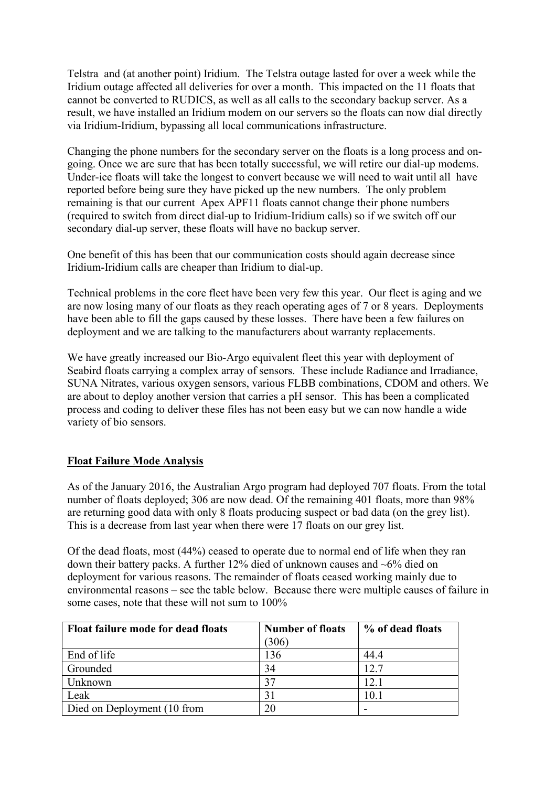Telstra and (at another point) Iridium. The Telstra outage lasted for over a week while the Iridium outage affected all deliveries for over a month. This impacted on the 11 floats that cannot be converted to RUDICS, as well as all calls to the secondary backup server. As a result, we have installed an Iridium modem on our servers so the floats can now dial directly via Iridium-Iridium, bypassing all local communications infrastructure.

Changing the phone numbers for the secondary server on the floats is a long process and ongoing. Once we are sure that has been totally successful, we will retire our dial-up modems. Under-ice floats will take the longest to convert because we will need to wait until all have reported before being sure they have picked up the new numbers. The only problem remaining is that our current Apex APF11 floats cannot change their phone numbers (required to switch from direct dial-up to Iridium-Iridium calls) so if we switch off our secondary dial-up server, these floats will have no backup server.

One benefit of this has been that our communication costs should again decrease since Iridium-Iridium calls are cheaper than Iridium to dial-up.

Technical problems in the core fleet have been very few this year. Our fleet is aging and we are now losing many of our floats as they reach operating ages of 7 or 8 years. Deployments have been able to fill the gaps caused by these losses. There have been a few failures on deployment and we are talking to the manufacturers about warranty replacements.

We have greatly increased our Bio-Argo equivalent fleet this year with deployment of Seabird floats carrying a complex array of sensors. These include Radiance and Irradiance, SUNA Nitrates, various oxygen sensors, various FLBB combinations, CDOM and others. We are about to deploy another version that carries a pH sensor. This has been a complicated process and coding to deliver these files has not been easy but we can now handle a wide variety of bio sensors.

#### **Float Failure Mode Analysis**

As of the January 2016, the Australian Argo program had deployed 707 floats. From the total number of floats deployed; 306 are now dead. Of the remaining 401 floats, more than 98% are returning good data with only 8 floats producing suspect or bad data (on the grey list). This is a decrease from last year when there were 17 floats on our grey list.

Of the dead floats, most (44%) ceased to operate due to normal end of life when they ran down their battery packs. A further 12% died of unknown causes and ~6% died on deployment for various reasons. The remainder of floats ceased working mainly due to environmental reasons – see the table below. Because there were multiple causes of failure in some cases, note that these will not sum to 100%

| <b>Float failure mode for dead floats</b> | <b>Number of floats</b> | % of dead floats |
|-------------------------------------------|-------------------------|------------------|
|                                           | (306)                   |                  |
| End of life                               | 136                     | 44.4             |
| Grounded                                  | 34                      | 12.7             |
| Unknown                                   | 37                      | 12.1             |
| Leak                                      | 31                      | 10.1             |
| Died on Deployment (10 from               | 20                      |                  |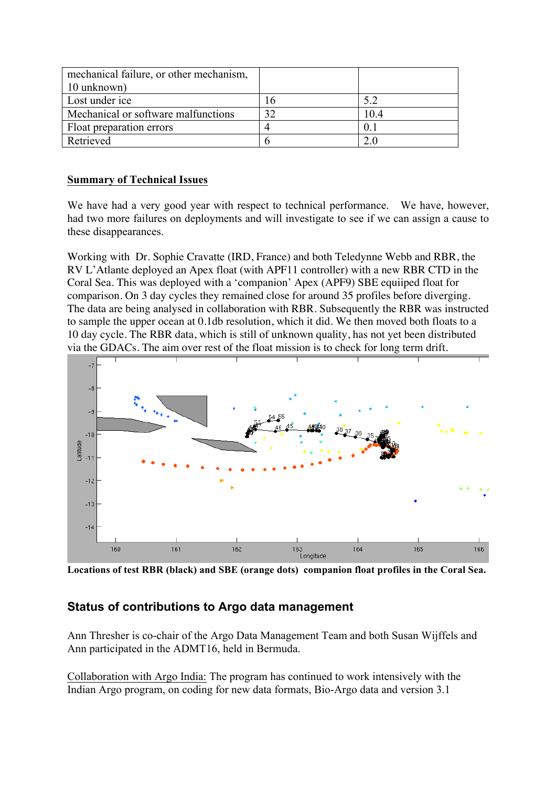| mechanical failure, or other mechanism, |      |
|-----------------------------------------|------|
| 10 unknown)                             |      |
| Lost under ice                          |      |
| Mechanical or software malfunctions     | 10.4 |
| Float preparation errors                |      |
| Retrieved                               |      |

#### **Summary of Technical Issues**

We have had a very good year with respect to technical performance. We have, however, had two more failures on deployments and will investigate to see if we can assign a cause to these disappearances.

Working with Dr. Sophie Cravatte (IRD, France) and both Teledynne Webb and RBR, the RV L'Atlante deployed an Apex float (with APF11 controller) with a new RBR CTD in the Coral Sea. This was deployed with a 'companion' Apex (APF9) SBE equiiped float for comparison. On 3 day cycles they remained close for around 35 profiles before diverging. The data are being analysed in collaboration with RBR. Subsequently the RBR was instructed to sample the upper ocean at 0.1db resolution, which it did. We then moved both floats to a 10 day cycle. The RBR data, which is still of unknown quality, has not yet been distributed via the GDACs. The aim over rest of the float mission is to check for long term drift.



**Locations of test RBR (black) and SBE (orange dots) companion float profiles in the Coral Sea.** 

### **Status of contributions to Argo data management**

Ann Thresher is co-chair of the Argo Data Management Team and both Susan Wijffels and Ann participated in the ADMT16, held in Bermuda.

Collaboration with Argo India: The program has continued to work intensively with the Indian Argo program, on coding for new data formats, Bio-Argo data and version 3.1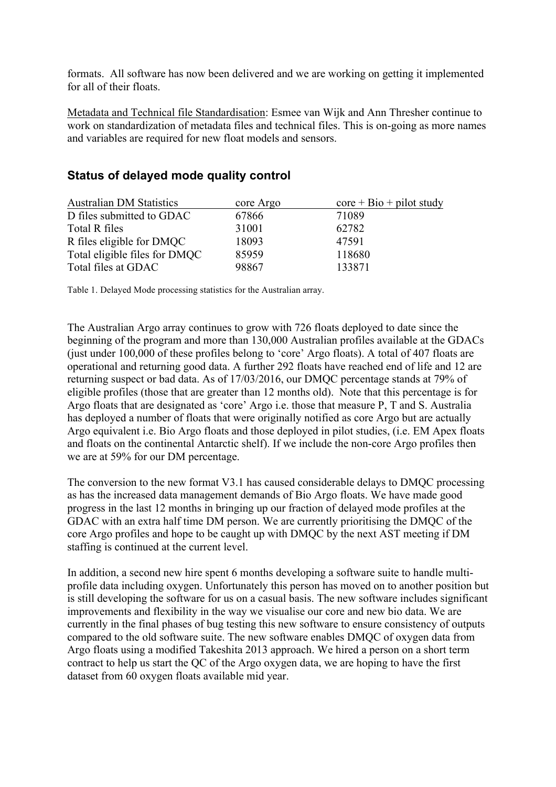formats. All software has now been delivered and we are working on getting it implemented for all of their floats.

Metadata and Technical file Standardisation: Esmee van Wijk and Ann Thresher continue to work on standardization of metadata files and technical files. This is on-going as more names and variables are required for new float models and sensors.

#### **Status of delayed mode quality control**

| <b>Australian DM Statistics</b> | core Argo | $\text{core} + \text{Bio} + \text{pilot study}$ |
|---------------------------------|-----------|-------------------------------------------------|
| D files submitted to GDAC       | 67866     | 71089                                           |
| Total R files                   | 31001     | 62782                                           |
| R files eligible for DMQC       | 18093     | 47591                                           |
| Total eligible files for DMQC   | 85959     | 118680                                          |
| Total files at GDAC             | 98867     | 133871                                          |

Table 1. Delayed Mode processing statistics for the Australian array.

The Australian Argo array continues to grow with 726 floats deployed to date since the beginning of the program and more than 130,000 Australian profiles available at the GDACs (just under 100,000 of these profiles belong to 'core' Argo floats). A total of 407 floats are operational and returning good data. A further 292 floats have reached end of life and 12 are returning suspect or bad data. As of 17/03/2016, our DMQC percentage stands at 79% of eligible profiles (those that are greater than 12 months old). Note that this percentage is for Argo floats that are designated as 'core' Argo i.e. those that measure P, T and S. Australia has deployed a number of floats that were originally notified as core Argo but are actually Argo equivalent i.e. Bio Argo floats and those deployed in pilot studies, (i.e. EM Apex floats and floats on the continental Antarctic shelf). If we include the non-core Argo profiles then we are at 59% for our DM percentage.

The conversion to the new format V3.1 has caused considerable delays to DMQC processing as has the increased data management demands of Bio Argo floats. We have made good progress in the last 12 months in bringing up our fraction of delayed mode profiles at the GDAC with an extra half time DM person. We are currently prioritising the DMQC of the core Argo profiles and hope to be caught up with DMQC by the next AST meeting if DM staffing is continued at the current level.

In addition, a second new hire spent 6 months developing a software suite to handle multiprofile data including oxygen. Unfortunately this person has moved on to another position but is still developing the software for us on a casual basis. The new software includes significant improvements and flexibility in the way we visualise our core and new bio data. We are currently in the final phases of bug testing this new software to ensure consistency of outputs compared to the old software suite. The new software enables DMQC of oxygen data from Argo floats using a modified Takeshita 2013 approach. We hired a person on a short term contract to help us start the QC of the Argo oxygen data, we are hoping to have the first dataset from 60 oxygen floats available mid year.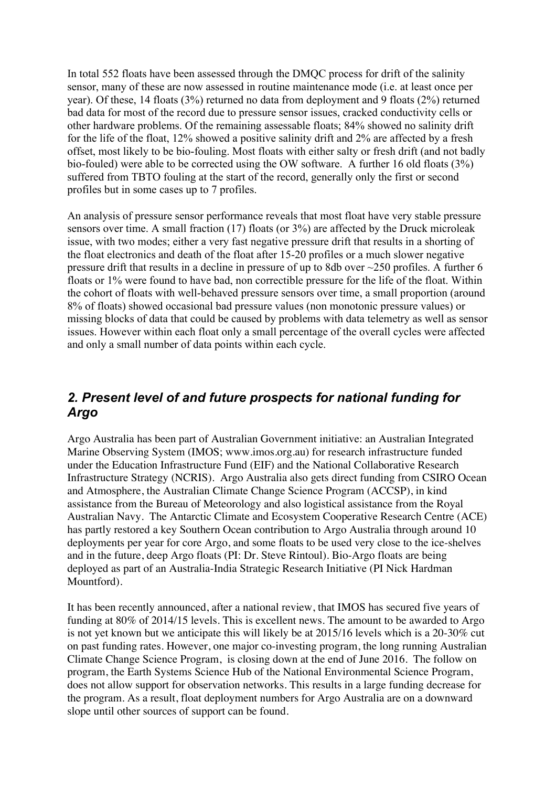In total 552 floats have been assessed through the DMQC process for drift of the salinity sensor, many of these are now assessed in routine maintenance mode (i.e. at least once per year). Of these, 14 floats (3%) returned no data from deployment and 9 floats (2%) returned bad data for most of the record due to pressure sensor issues, cracked conductivity cells or other hardware problems. Of the remaining assessable floats; 84% showed no salinity drift for the life of the float, 12% showed a positive salinity drift and 2% are affected by a fresh offset, most likely to be bio-fouling. Most floats with either salty or fresh drift (and not badly bio-fouled) were able to be corrected using the OW software. A further 16 old floats (3%) suffered from TBTO fouling at the start of the record, generally only the first or second profiles but in some cases up to 7 profiles.

An analysis of pressure sensor performance reveals that most float have very stable pressure sensors over time. A small fraction (17) floats (or 3%) are affected by the Druck microleak issue, with two modes; either a very fast negative pressure drift that results in a shorting of the float electronics and death of the float after 15-20 profiles or a much slower negative pressure drift that results in a decline in pressure of up to 8db over ~250 profiles. A further 6 floats or 1% were found to have bad, non correctible pressure for the life of the float. Within the cohort of floats with well-behaved pressure sensors over time, a small proportion (around 8% of floats) showed occasional bad pressure values (non monotonic pressure values) or missing blocks of data that could be caused by problems with data telemetry as well as sensor issues. However within each float only a small percentage of the overall cycles were affected and only a small number of data points within each cycle.

### *2. Present level of and future prospects for national funding for Argo*

Argo Australia has been part of Australian Government initiative: an Australian Integrated Marine Observing System (IMOS; www.imos.org.au) for research infrastructure funded under the Education Infrastructure Fund (EIF) and the National Collaborative Research Infrastructure Strategy (NCRIS). Argo Australia also gets direct funding from CSIRO Ocean and Atmosphere, the Australian Climate Change Science Program (ACCSP), in kind assistance from the Bureau of Meteorology and also logistical assistance from the Royal Australian Navy. The Antarctic Climate and Ecosystem Cooperative Research Centre (ACE) has partly restored a key Southern Ocean contribution to Argo Australia through around 10 deployments per year for core Argo, and some floats to be used very close to the ice-shelves and in the future, deep Argo floats (PI: Dr. Steve Rintoul). Bio-Argo floats are being deployed as part of an Australia-India Strategic Research Initiative (PI Nick Hardman Mountford).

It has been recently announced, after a national review, that IMOS has secured five years of funding at 80% of 2014/15 levels. This is excellent news. The amount to be awarded to Argo is not yet known but we anticipate this will likely be at 2015/16 levels which is a 20-30% cut on past funding rates. However, one major co-investing program, the long running Australian Climate Change Science Program, is closing down at the end of June 2016. The follow on program, the Earth Systems Science Hub of the National Environmental Science Program, does not allow support for observation networks. This results in a large funding decrease for the program. As a result, float deployment numbers for Argo Australia are on a downward slope until other sources of support can be found.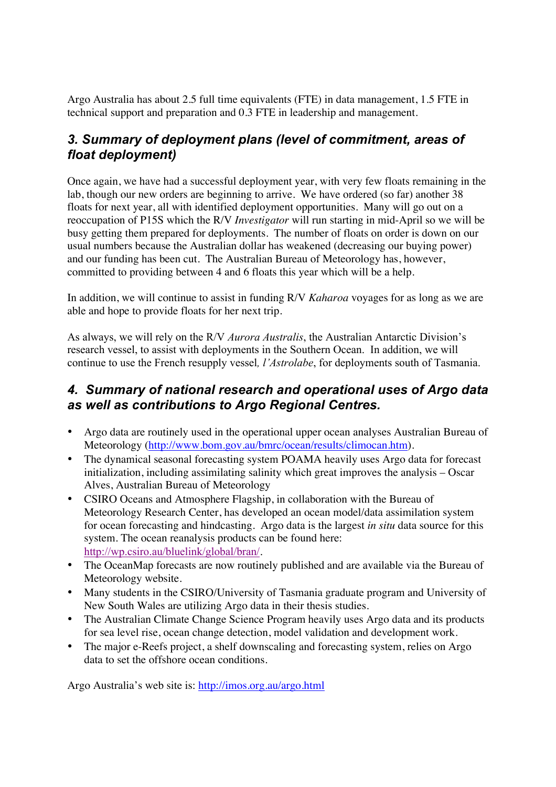Argo Australia has about 2.5 full time equivalents (FTE) in data management, 1.5 FTE in technical support and preparation and 0.3 FTE in leadership and management.

## *3. Summary of deployment plans (level of commitment, areas of float deployment)*

Once again, we have had a successful deployment year, with very few floats remaining in the lab, though our new orders are beginning to arrive. We have ordered (so far) another 38 floats for next year, all with identified deployment opportunities. Many will go out on a reoccupation of P15S which the R/V *Investigator* will run starting in mid-April so we will be busy getting them prepared for deployments. The number of floats on order is down on our usual numbers because the Australian dollar has weakened (decreasing our buying power) and our funding has been cut. The Australian Bureau of Meteorology has, however, committed to providing between 4 and 6 floats this year which will be a help.

In addition, we will continue to assist in funding R/V *Kaharoa* voyages for as long as we are able and hope to provide floats for her next trip.

As always, we will rely on the R/V *Aurora Australis*, the Australian Antarctic Division's research vessel, to assist with deployments in the Southern Ocean. In addition, we will continue to use the French resupply vessel*, l'Astrolabe*, for deployments south of Tasmania.

### *4. Summary of national research and operational uses of Argo data as well as contributions to Argo Regional Centres.*

- Argo data are routinely used in the operational upper ocean analyses Australian Bureau of Meteorology (http://www.bom.gov.au/bmrc/ocean/results/climocan.htm).
- The dynamical seasonal forecasting system POAMA heavily uses Argo data for forecast initialization, including assimilating salinity which great improves the analysis – Oscar Alves, Australian Bureau of Meteorology
- CSIRO Oceans and Atmosphere Flagship, in collaboration with the Bureau of Meteorology Research Center, has developed an ocean model/data assimilation system for ocean forecasting and hindcasting. Argo data is the largest *in situ* data source for this system. The ocean reanalysis products can be found here: http://wp.csiro.au/bluelink/global/bran/.
- The OceanMap forecasts are now routinely published and are available via the Bureau of Meteorology website.
- Many students in the CSIRO/University of Tasmania graduate program and University of New South Wales are utilizing Argo data in their thesis studies.
- The Australian Climate Change Science Program heavily uses Argo data and its products for sea level rise, ocean change detection, model validation and development work.
- The major e-Reefs project, a shelf downscaling and forecasting system, relies on Argo data to set the offshore ocean conditions.

Argo Australia's web site is: http://imos.org.au/argo.html